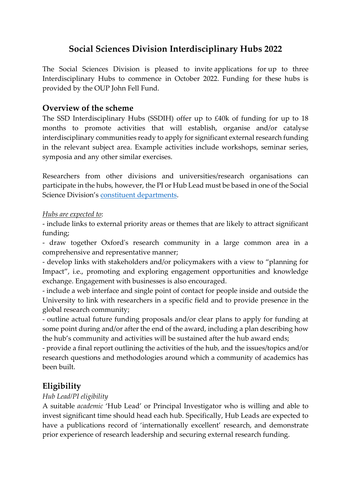# **Social Sciences Division Interdisciplinary Hubs 2022**

The Social Sciences Division is pleased to invite applications for up to three Interdisciplinary Hubs to commence in October 2022. Funding for these hubs is provided by the OUP John Fell Fund.

### **Overview of the scheme**

The SSD Interdisciplinary Hubs (SSDIH) offer up to £40k of funding for up to 18 months to promote activities that will establish, organise and/or catalyse interdisciplinary communities ready to apply for significant external research funding in the relevant subject area. Example activities include workshops, seminar series, symposia and any other similar exercises.

Researchers from other divisions and universities/research organisations can participate in the hubs, however, the PI or Hub Lead must be based in one of the Social Science Division's [constituent departments.](https://socsci.web.ox.ac.uk/research-support-in-departments)

#### *Hubs are expected to*:

- include links to external priority areas or themes that are likely to attract significant funding;

- draw together Oxford's research community in a large common area in a comprehensive and representative manner;

- develop links with stakeholders and/or policymakers with a view to "planning for Impact", i.e., promoting and exploring engagement opportunities and knowledge exchange. Engagement with businesses is also encouraged.

- include a web interface and single point of contact for people inside and outside the University to link with researchers in a specific field and to provide presence in the global research community;

- outline actual future funding proposals and/or clear plans to apply for funding at some point during and/or after the end of the award, including a plan describing how the hub's community and activities will be sustained after the hub award ends;

- provide a final report outlining the activities of the hub, and the issues/topics and/or research questions and methodologies around which a community of academics has been built.

# **Eligibility**

### *Hub Lead/PI eligibility*

A suitable *academic* 'Hub Lead' or Principal Investigator who is willing and able to invest significant time should head each hub. Specifically, Hub Leads are expected to have a publications record of 'internationally excellent' research, and demonstrate prior experience of research leadership and securing external research funding.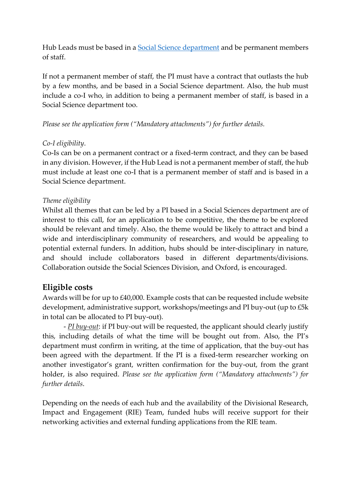Hub Leads must be based in a **Social Science department** and be permanent members of staff.

If not a permanent member of staff, the PI must have a contract that outlasts the hub by a few months, and be based in a Social Science department. Also, the hub must include a co-I who, in addition to being a permanent member of staff, is based in a Social Science department too.

#### *Please see the application form ("Mandatory attachments") for further details.*

#### *Co-I eligibility*.

Co-Is can be on a permanent contract or a fixed-term contract, and they can be based in any division. However, if the Hub Lead is not a permanent member of staff, the hub must include at least one co-I that is a permanent member of staff and is based in a Social Science department.

#### *Theme eligibility*

Whilst all themes that can be led by a PI based in a Social Sciences department are of interest to this call, for an application to be competitive, the theme to be explored should be relevant and timely. Also, the theme would be likely to attract and bind a wide and interdisciplinary community of researchers, and would be appealing to potential external funders. In addition, hubs should be inter-disciplinary in nature, and should include collaborators based in different departments/divisions. Collaboration outside the Social Sciences Division, and Oxford, is encouraged.

## **Eligible costs**

Awards will be for up to £40,000. Example costs that can be requested include website development, administrative support, workshops/meetings and PI buy-out (up to £5k in total can be allocated to PI buy-out).

- *PI buy-out*: if PI buy-out will be requested, the applicant should clearly justify this, including details of what the time will be bought out from. Also, the PI's department must confirm in writing, at the time of application, that the buy-out has been agreed with the department. If the PI is a fixed-term researcher working on another investigator's grant, written confirmation for the buy-out, from the grant holder, is also required. *Please see the application form ("Mandatory attachments") for further details*.

Depending on the needs of each hub and the availability of the Divisional Research, Impact and Engagement (RIE) Team, funded hubs will receive support for their networking activities and external funding applications from the RIE team.